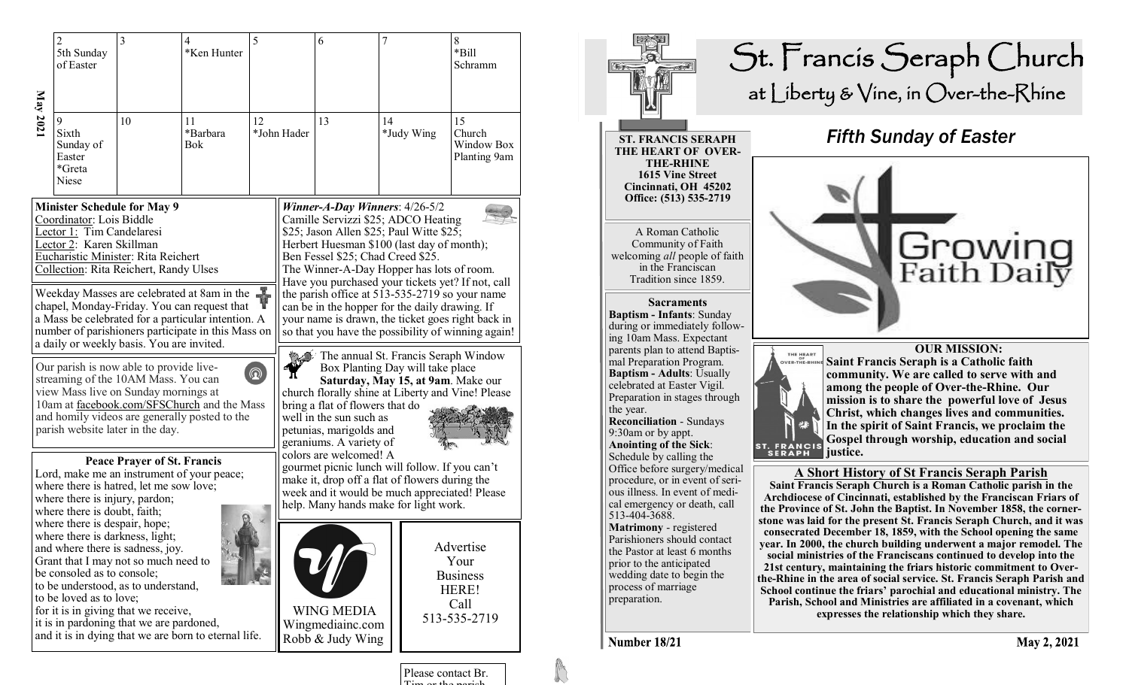|                                                                                                                                                                                                                                                                          | $\overline{c}$                                                                                 | 3                                                                                                               | 4                                                    | 5                                                                                                                                                                                                                                                                                                                                                                                                                                                                                                                                                                                                                                                                                                                                                                                                                                                                                                                                                                                                                                        |             | 6                                                         | 7  |            | $\,$ 8 $\,$                                   |
|--------------------------------------------------------------------------------------------------------------------------------------------------------------------------------------------------------------------------------------------------------------------------|------------------------------------------------------------------------------------------------|-----------------------------------------------------------------------------------------------------------------|------------------------------------------------------|------------------------------------------------------------------------------------------------------------------------------------------------------------------------------------------------------------------------------------------------------------------------------------------------------------------------------------------------------------------------------------------------------------------------------------------------------------------------------------------------------------------------------------------------------------------------------------------------------------------------------------------------------------------------------------------------------------------------------------------------------------------------------------------------------------------------------------------------------------------------------------------------------------------------------------------------------------------------------------------------------------------------------------------|-------------|-----------------------------------------------------------|----|------------|-----------------------------------------------|
|                                                                                                                                                                                                                                                                          | 5th Sunday<br>of Easter                                                                        |                                                                                                                 | *Ken Hunter                                          |                                                                                                                                                                                                                                                                                                                                                                                                                                                                                                                                                                                                                                                                                                                                                                                                                                                                                                                                                                                                                                          |             |                                                           |    |            | *Bill<br>Schramm                              |
| May 2021                                                                                                                                                                                                                                                                 | 9<br>Sixth<br>Sunday of<br>Easter<br>*Greta<br>Niese                                           | 10                                                                                                              | 11<br>*Barbara<br>Bok                                | 12                                                                                                                                                                                                                                                                                                                                                                                                                                                                                                                                                                                                                                                                                                                                                                                                                                                                                                                                                                                                                                       | *John Hader | 13                                                        | 14 | *Judy Wing | 15<br>Church<br>Window Box<br>Planting 9am    |
| <b>Minister Schedule for May 9</b><br>Coordinator: Lois Biddle<br>Lector 1: Tim Candelaresi<br>Lector 2: Karen Skillman<br>Eucharistic Minister: Rita Reichert<br>Collection: Rita Reichert, Randy Ulses                                                                 |                                                                                                |                                                                                                                 |                                                      | Winner-A-Day Winners: 4/26-5/2<br>Camille Servizzi \$25; ADCO Heating<br>\$25; Jason Allen \$25; Paul Witte \$25;<br>Herbert Huesman \$100 (last day of month);<br>Ben Fessel \$25; Chad Creed \$25.<br>The Winner-A-Day Hopper has lots of room.<br>Have you purchased your tickets yet? If not, call<br>the parish office at 513-535-2719 so your name<br>can be in the hopper for the daily drawing. If<br>your name is drawn, the ticket goes right back in<br>so that you have the possibility of winning again!<br>The annual St. Francis Seraph Window<br>Box Planting Day will take place<br>Saturday, May 15, at 9am. Make our<br>church florally shine at Liberty and Vine! Please<br>bring a flat of flowers that do<br>well in the sun such as<br>petunias, marigolds and<br>geraniums. A variety of<br>colors are welcomed! A<br>gourmet picnic lunch will follow. If you can't<br>make it, drop off a flat of flowers during the<br>week and it would be much appreciated! Please<br>help. Many hands make for light work. |             |                                                           |    |            |                                               |
| Weekday Masses are celebrated at 8am in the<br>chapel, Monday-Friday. You can request that<br>a Mass be celebrated for a particular intention. A<br>number of parishioners participate in this Mass on<br>a daily or weekly basis. You are invited.                      |                                                                                                |                                                                                                                 |                                                      |                                                                                                                                                                                                                                                                                                                                                                                                                                                                                                                                                                                                                                                                                                                                                                                                                                                                                                                                                                                                                                          |             |                                                           |    |            |                                               |
| Our parish is now able to provide live-<br>$^{\circ}$<br>streaming of the 10AM Mass. You can<br>view Mass live on Sunday mornings at<br>10am at facebook.com/SFSChurch and the Mass<br>and homily videos are generally posted to the<br>parish website later in the day. |                                                                                                |                                                                                                                 |                                                      |                                                                                                                                                                                                                                                                                                                                                                                                                                                                                                                                                                                                                                                                                                                                                                                                                                                                                                                                                                                                                                          |             |                                                           |    |            |                                               |
| <b>Peace Prayer of St. Francis</b><br>Lord, make me an instrument of your peace;<br>where there is hatred, let me sow love;<br>where there is injury, pardon;<br>where there is doubt, faith;                                                                            |                                                                                                |                                                                                                                 |                                                      |                                                                                                                                                                                                                                                                                                                                                                                                                                                                                                                                                                                                                                                                                                                                                                                                                                                                                                                                                                                                                                          |             |                                                           |    |            |                                               |
|                                                                                                                                                                                                                                                                          | where there is despair, hope;<br>where there is darkness, light;<br>be consoled as to console; | and where there is sadness, joy.<br>Grant that I may not so much need to<br>to be understood, as to understand, |                                                      |                                                                                                                                                                                                                                                                                                                                                                                                                                                                                                                                                                                                                                                                                                                                                                                                                                                                                                                                                                                                                                          |             |                                                           |    |            | Advertise<br>Your<br><b>Business</b><br>HERE! |
|                                                                                                                                                                                                                                                                          | to be loved as to love;                                                                        | for it is in giving that we receive,<br>it is in pardoning that we are pardoned,                                | and it is in dying that we are born to eternal life. |                                                                                                                                                                                                                                                                                                                                                                                                                                                                                                                                                                                                                                                                                                                                                                                                                                                                                                                                                                                                                                          |             | <b>WING MEDIA</b><br>Wingmediainc.com<br>Robb & Judy Wing |    |            | Call<br>513-535-2719                          |



Please contact Br. Tim or the parish